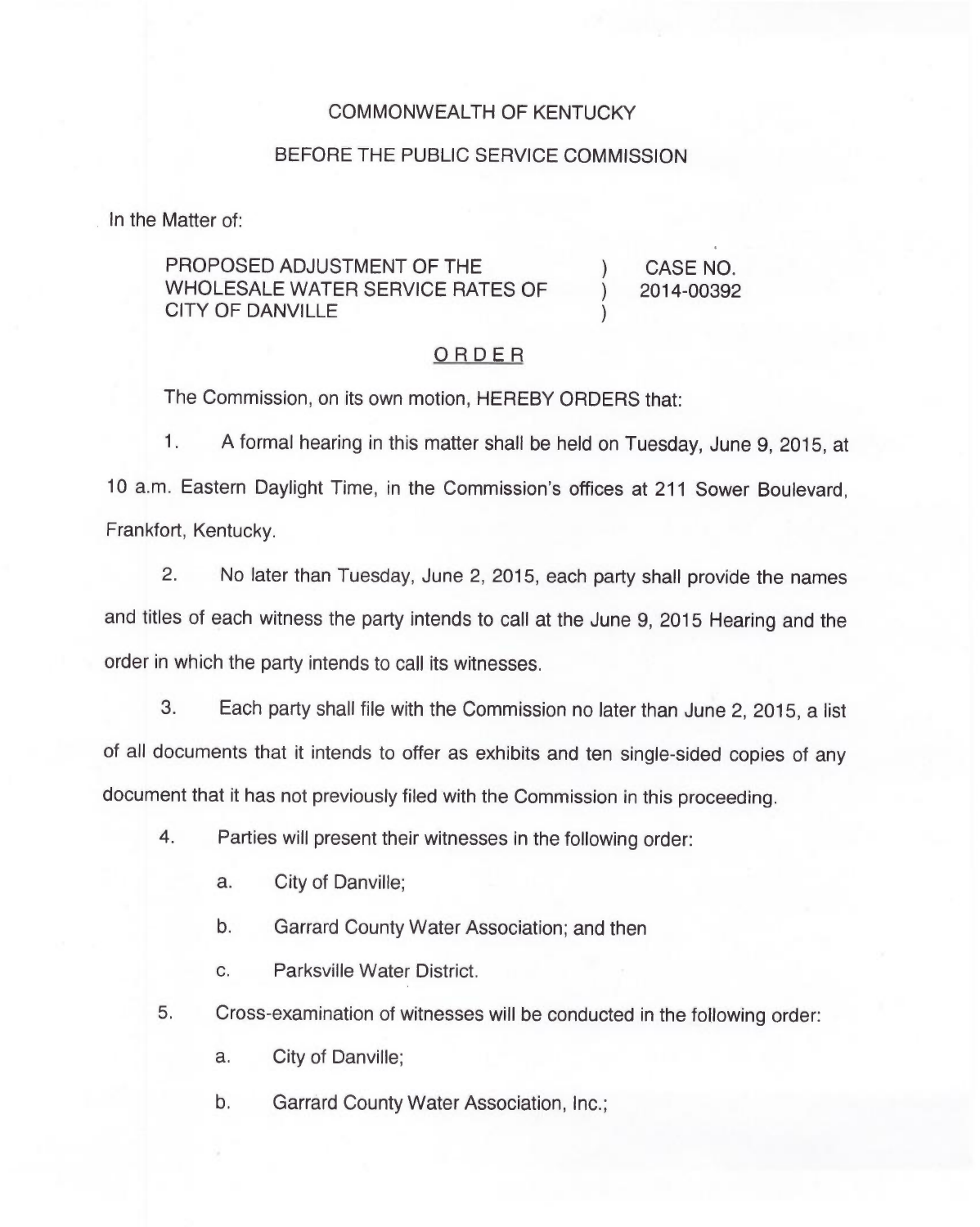## COMMONWEALTH OF KENTUCKY

## BEFORE THE PUBLIC SERVICE COMMISSION

In the Matter of:

## PROPOSED ADJUSTMENT OF THE WHOLESALE WATER SERVICE RATES OF CITY OF DANVILLE

) CASE NO. ) 2014-00392

)

## ORDER

The Commission, on its own motion, HEREBY ORDERS that:

 $1.$ A formal hearing in this matter shall be held on Tuesday, June 9, 2015, at 10 a.m. Eastern Daylight Time, in the Commission's offices at 211 Sower Boulevard, Frankfort, Kentucky.

2. No later than Tuesday, June 2, 2015, each party shall provide the names and titles of each witness the party intends to call at the June 9, 2015 Hearing and the order in which the party intends to call its witnesses.

3. Each party shall file with the Commission no later than June 2, 2015, a list of all documents that it intends to offer as exhibits and ten single-sided copies of any document that it has not previously filed with the Commission in this proceeding.

- 4. Parties will present their witnesses in the following order:
	- a. City of Danville;
	- b. Garrard County Water Association; and then
	- c. Parksville Water District.
- 5. Cross-examination of witnesses will be conducted in the following order:
	- a. City of Danville;
	- b. Garrard County Water Association, Inc.;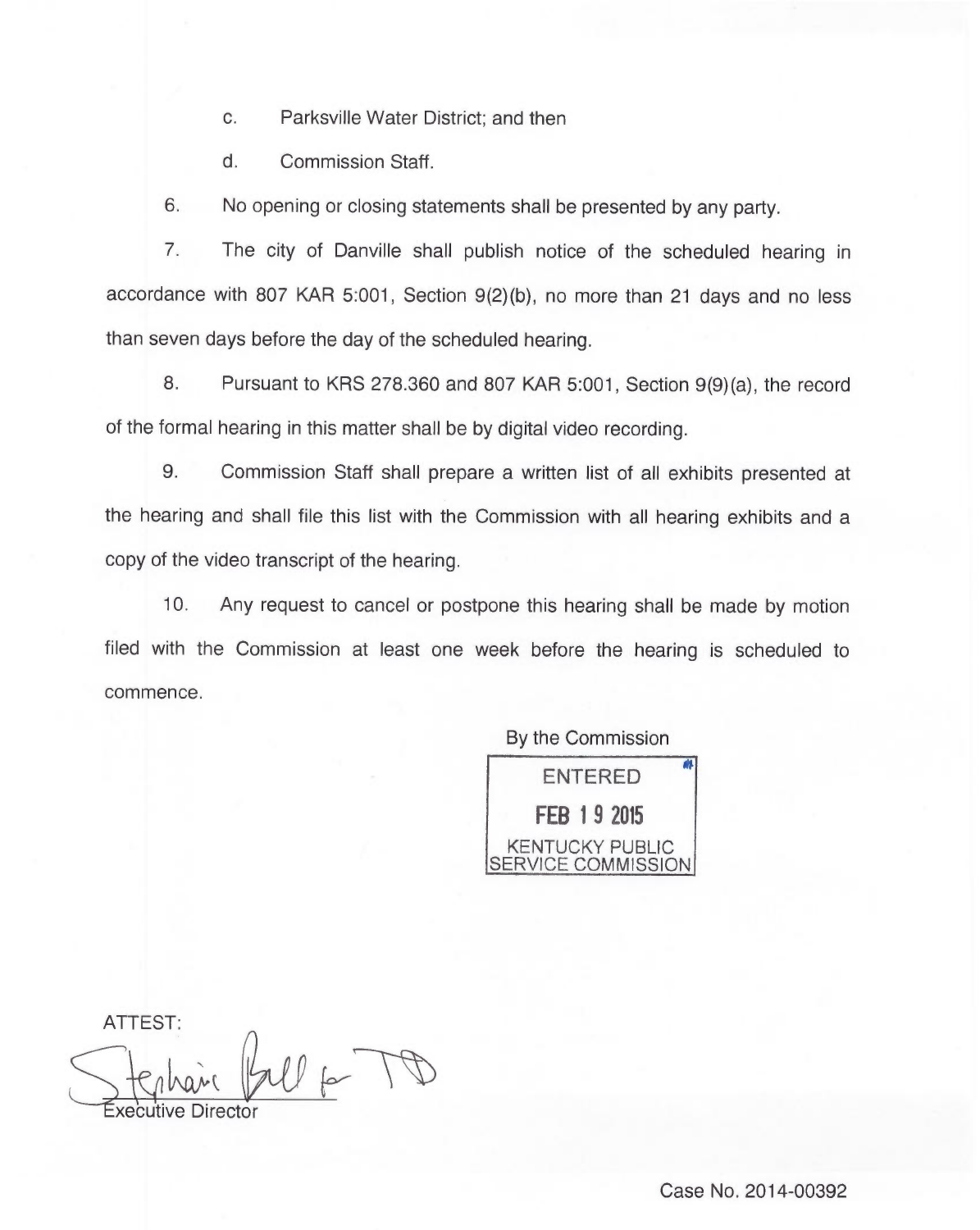c. Parksville Water District; and then

d. Commission Staff.

6. No opening or closing statements shall be presented by any party.

7. The city of Danville shall publish notice of the scheduled hearing in accordance with 807 KAR 5:001, Section 9(2)(b), no more than 21 days and no less than seven days before the day of the scheduled hearing.

8. Pursuant to KRS 278.360 and 807 KAR 5:001, Section 9(9)(a), the record of the formal hearing in this matter shall be by digital video recording.

9. Commission Staff shall prepare a written list of all exhibits presented at the hearing and shall file this list with the Commission with all hearing exhibits and a copy of the video transcript of the hearing.

10. Any request to cancel or postpone this hearing shall be made by motion filed with the Commission at least one week before the hearing is scheduled to commence.

By the Commission

ENTERED FEB 19 2015 KENTUCKY PUBLIC SERVICE COMMISSION

ATTEST: xecutive Directo

Case No. 2014-00392